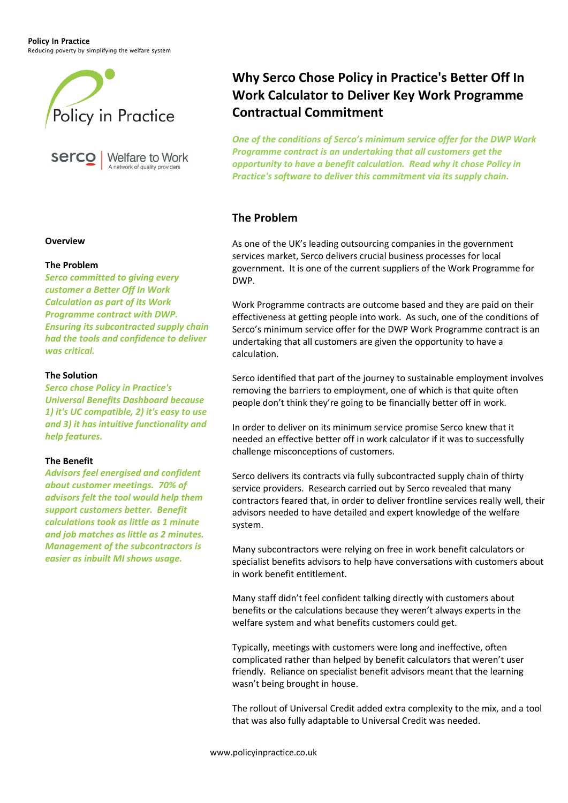Policy In Practice

Reducing poverty by simplifying the welfare system





# **Why Serco Chose Policy in Practice's Better Off In Work Calculator to Deliver Key Work Programme Contractual Commitment**

*One of the conditions of Serco's minimum service offer for the DWP Work Programme contract is an undertaking that all customers get the opportunity to have a benefit calculation. Read why it chose Policy in Practice's software to deliver this commitment via its supply chain.*

### **The Problem**

As one of the UK's leading outsourcing companies in the government services market, Serco delivers crucial business processes for local government. It is one of the current suppliers of the Work Programme for DWP.

Work Programme contracts are outcome based and they are paid on their effectiveness at getting people into work. As such, one of the conditions of Serco's minimum service offer for the DWP Work Programme contract is an undertaking that all customers are given the opportunity to have a calculation.

Serco identified that part of the journey to sustainable employment involves removing the barriers to employment, one of which is that quite often people don't think they're going to be financially better off in work.

In order to deliver on its minimum service promise Serco knew that it needed an effective better off in work calculator if it was to successfully challenge misconceptions of customers.

Serco delivers its contracts via fully subcontracted supply chain of thirty service providers. Research carried out by Serco revealed that many contractors feared that, in order to deliver frontline services really well, their advisors needed to have detailed and expert knowledge of the welfare system.

Many subcontractors were relying on free in work benefit calculators or specialist benefits advisors to help have conversations with customers about in work benefit entitlement.

Many staff didn't feel confident talking directly with customers about benefits or the calculations because they weren't always experts in the welfare system and what benefits customers could get.

Typically, meetings with customers were long and ineffective, often complicated rather than helped by benefit calculators that weren't user friendly. Reliance on specialist benefit advisors meant that the learning wasn't being brought in house.

The rollout of Universal Credit added extra complexity to the mix, and a tool that was also fully adaptable to Universal Credit was needed.

#### **Overview**

#### **The Problem**

*Serco committed to giving every customer a Better Off In Work Calculation as part of its Work Programme contract with DWP. Ensuring its subcontracted supply chain had the tools and confidence to deliver was critical.*

#### **The Solution**

*Serco chose Policy in Practice's Universal Benefits Dashboard because 1) it's UC compatible, 2) it's easy to use and 3) it has intuitive functionality and help features.*

#### **The Benefit**

*Advisors feel energised and confident about customer meetings. 70% of advisors felt the tool would help them support customers better. Benefit calculations took as little as 1 minute and job matches as little as 2 minutes. Management of the subcontractors is easier as inbuilt MI shows usage.*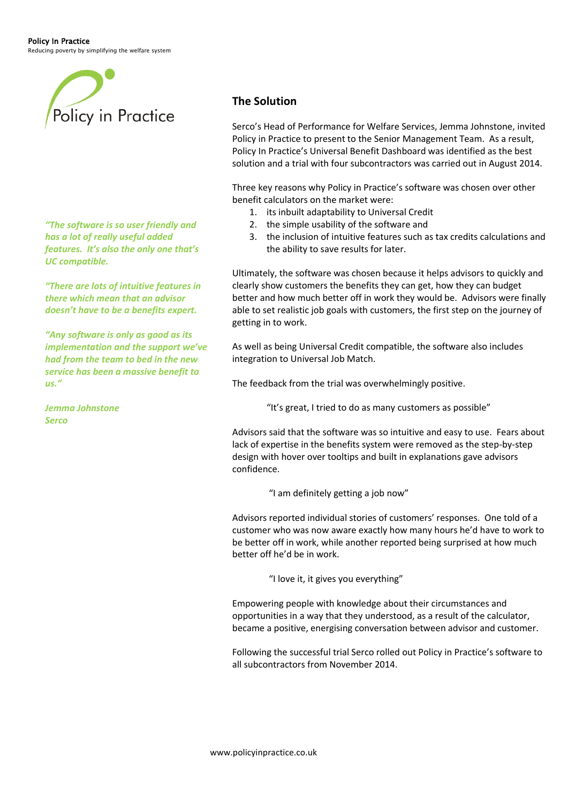Reducing poverty by simplifying the welfare system



*"The software is so user friendly and has a lot of really useful added features. It's also the only one that's UC compatible.* 

*"There are lots of intuitive features in there which mean that an advisor doesn't have to be a benefits expert.*

*"Any software is only as good as its implementation and the support we've had from the team to bed in the new service has been a massive benefit to us."*

*Jemma Johnstone Serco*

#### **The Solution**

Serco's Head of Performance for Welfare Services, Jemma Johnstone, invited Policy in Practice to present to the Senior Management Team. As a result, Policy In Practice's Universal Benefit Dashboard was identified as the best solution and a trial with four subcontractors was carried out in August 2014.

Three key reasons why Policy in Practice's software was chosen over other benefit calculators on the market were:

- 1. its inbuilt adaptability to Universal Credit
- 2. the simple usability of the software and
- 3. the inclusion of intuitive features such as tax credits calculations and the ability to save results for later.

Ultimately, the software was chosen because it helps advisors to quickly and clearly show customers the benefits they can get, how they can budget better and how much better off in work they would be. Advisors were finally able to set realistic job goals with customers, the first step on the journey of getting in to work.

As well as being Universal Credit compatible, the software also includes integration to Universal Job Match.

The feedback from the trial was overwhelmingly positive.

"It's great, I tried to do as many customers as possible"

Advisors said that the software was so intuitive and easy to use. Fears about lack of expertise in the benefits system were removed as the step-by-step design with hover over tooltips and built in explanations gave advisors confidence.

"I am definitely getting a job now"

Advisors reported individual stories of customers' responses. One told of a customer who was now aware exactly how many hours he'd have to work to be better off in work, while another reported being surprised at how much better off he'd be in work.

"I love it, it gives you everything"

Empowering people with knowledge about their circumstances and opportunities in a way that they understood, as a result of the calculator, became a positive, energising conversation between advisor and customer.

Following the successful trial Serco rolled out Policy in Practice's software to all subcontractors from November 2014.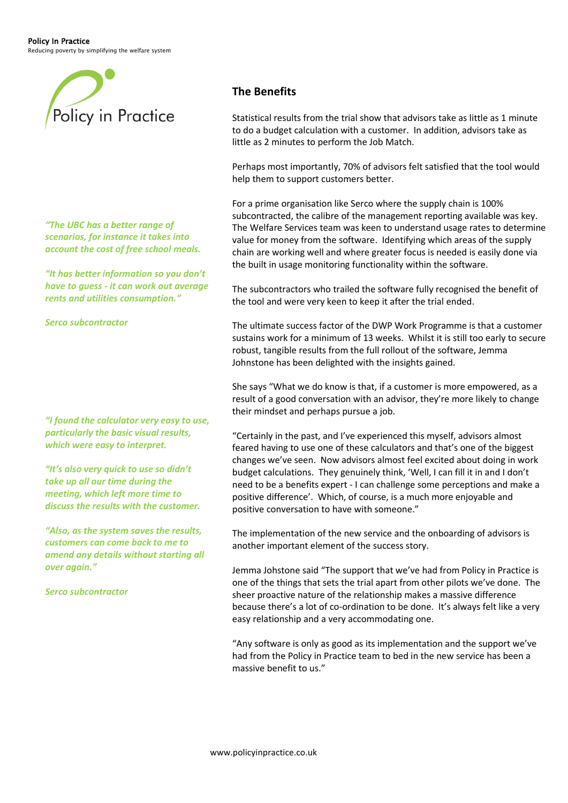Policy In Practice

Reducing poverty by simplifying the welfare system



### **The Benefits**

Statistical results from the trial show that advisors take as little as 1 minute to do a budget calculation with a customer. In addition, advisors take as little as 2 minutes to perform the Job Match.

Perhaps most importantly, 70% of advisors felt satisfied that the tool would help them to support customers better.

For a prime organisation like Serco where the supply chain is 100% subcontracted, the calibre of the management reporting available was key. The Welfare Services team was keen to understand usage rates to determine value for money from the software. Identifying which areas of the supply chain are working well and where greater focus is needed is easily done via the built in usage monitoring functionality within the software.

The subcontractors who trailed the software fully recognised the benefit of the tool and were very keen to keep it after the trial ended.

The ultimate success factor of the DWP Work Programme is that a customer sustains work for a minimum of 13 weeks. Whilst it is still too early to secure robust, tangible results from the full rollout of the software, Jemma Johnstone has been delighted with the insights gained.

She says "What we do know is that, if a customer is more empowered, as a result of a good conversation with an advisor, they're more likely to change their mindset and perhaps pursue a job.

"Certainly in the past, and I've experienced this myself, advisors almost feared having to use one of these calculators and that's one of the biggest changes we've seen. Now advisors almost feel excited about doing in work budget calculations. They genuinely think, 'Well, I can fill it in and I don't need to be a benefits expert - I can challenge some perceptions and make a positive difference'. Which, of course, is a much more enjoyable and positive conversation to have with someone."

The implementation of the new service and the onboarding of advisors is another important element of the success story.

Jemma Johstone said "The support that we've had from Policy in Practice is one of the things that sets the trial apart from other pilots we've done. The sheer proactive nature of the relationship makes a massive difference because there's a lot of co-ordination to be done. It's always felt like a very easy relationship and a very accommodating one.

"Any software is only as good as its implementation and the support we've had from the Policy in Practice team to bed in the new service has been a massive benefit to us."

*"The UBC has a better range of scenarios, for instance it takes into account the cost of free school meals.* 

*"It has better information so you don't have to guess - it can work out average rents and utilities consumption."*

*Serco subcontractor*

*"I found the calculator very easy to use, particularly the basic visual results, which were easy to interpret.*

*"It's also very quick to use so didn't take up all our time during the meeting, which left more time to discuss the results with the customer.*

*"Also, as the system saves the results, customers can come back to me to amend any details without starting all over again."*

*Serco subcontractor*